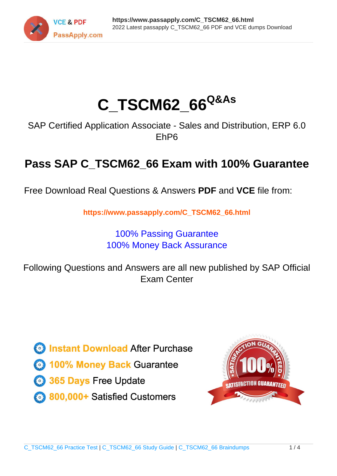

# **C\_TSCM62\_66Q&As**

SAP Certified Application Associate - Sales and Distribution, ERP 6.0 EhP6

## **Pass SAP C\_TSCM62\_66 Exam with 100% Guarantee**

Free Download Real Questions & Answers **PDF** and **VCE** file from:

**https://www.passapply.com/C\_TSCM62\_66.html**

### 100% Passing Guarantee 100% Money Back Assurance

Following Questions and Answers are all new published by SAP Official Exam Center

**Colonization** Download After Purchase

- **@ 100% Money Back Guarantee**
- **63 365 Days Free Update**
- 800,000+ Satisfied Customers

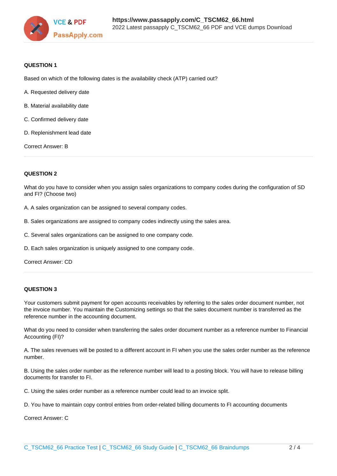

#### **QUESTION 1**

Based on which of the following dates is the availability check (ATP) carried out?

- A. Requested delivery date
- B. Material availability date
- C. Confirmed delivery date
- D. Replenishment lead date

Correct Answer: B

#### **QUESTION 2**

What do you have to consider when you assign sales organizations to company codes during the configuration of SD and FI? (Choose two)

A. A sales organization can be assigned to several company codes.

- B. Sales organizations are assigned to company codes indirectly using the sales area.
- C. Several sales organizations can be assigned to one company code.
- D. Each sales organization is uniquely assigned to one company code.

Correct Answer: CD

#### **QUESTION 3**

Your customers submit payment for open accounts receivables by referring to the sales order document number, not the invoice number. You maintain the Customizing settings so that the sales document number is transferred as the reference number in the accounting document.

What do you need to consider when transferring the sales order document number as a reference number to Financial Accounting (FI)?

A. The sales revenues will be posted to a different account in FI when you use the sales order number as the reference number.

B. Using the sales order number as the reference number will lead to a posting block. You will have to release billing documents for transfer to FI.

C. Using the sales order number as a reference number could lead to an invoice split.

D. You have to maintain copy control entries from order-related billing documents to FI accounting documents

Correct Answer: C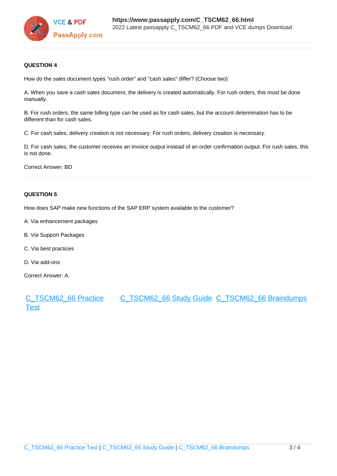

#### **QUESTION 4**

How do the sales document types "rush order" and "cash sales" differ? (Choose two)

A. When you save a cash sales document, the delivery is created automatically. For rush orders, this must be done manually.

B. For rush orders, the same billing type can be used as for cash sales, but the account determination has to be different than for cash sales.

C. For cash sales, delivery creation is not necessary. For rush orders, delivery creation is necessary.

D. For cash sales, the customer receives an invoice output instead of an order confirmation output. For rush sales, this is not done.

Correct Answer: BD

#### **QUESTION 5**

How does SAP make new functions of the SAP ERP system available to the customer?

- A. Via enhancement packages
- B. Via Support Packages
- C. Via best practices
- D. Via add-ons

Correct Answer: A

[C\\_TSCM62\\_66 Practice](https://www.passapply.com/C_TSCM62_66.html) [Test](https://www.passapply.com/C_TSCM62_66.html) [C\\_TSCM62\\_66 Study Guide](https://www.passapply.com/C_TSCM62_66.html) [C\\_TSCM62\\_66 Braindumps](https://www.passapply.com/C_TSCM62_66.html)